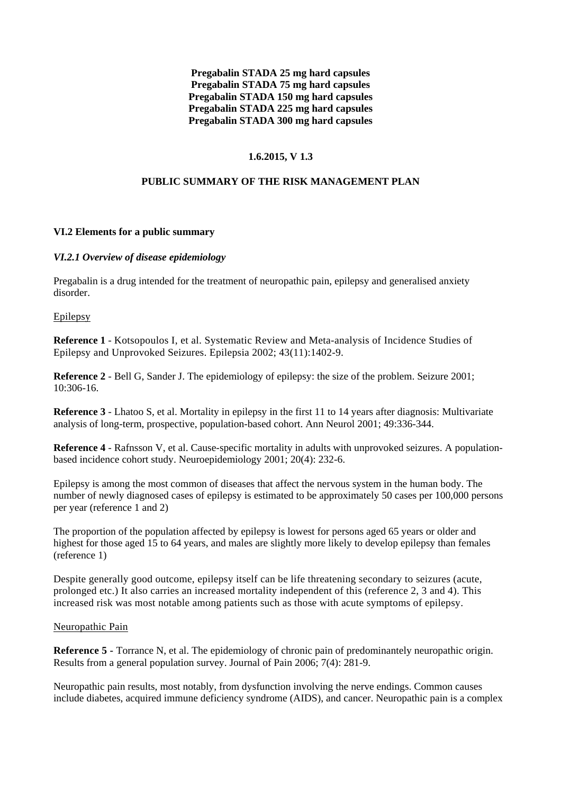**Pregabalin STADA 25 mg hard capsules Pregabalin STADA 75 mg hard capsules Pregabalin STADA 150 mg hard capsules Pregabalin STADA 225 mg hard capsules Pregabalin STADA 300 mg hard capsules**

## **1.6.2015, V 1.3**

## **PUBLIC SUMMARY OF THE RISK MANAGEMENT PLAN**

#### **VI.2 Elements for a public summary**

#### *VI.2.1 Overview of disease epidemiology*

Pregabalin is a drug intended for the treatment of neuropathic pain, epilepsy and generalised anxiety disorder.

Epilepsy

**Reference 1** - Kotsopoulos I, et al. Systematic Review and Meta-analysis of Incidence Studies of Epilepsy and Unprovoked Seizures. Epilepsia 2002; 43(11):1402-9.

**Reference 2** - Bell G, Sander J. The epidemiology of epilepsy: the size of the problem. Seizure 2001; 10:306-16.

**Reference 3** - Lhatoo S, et al. Mortality in epilepsy in the first 11 to 14 years after diagnosis: Multivariate analysis of long-term, prospective, population-based cohort. Ann Neurol 2001; 49:336-344.

**Reference 4** - Rafnsson V, et al. Cause-specific mortality in adults with unprovoked seizures. A populationbased incidence cohort study. Neuroepidemiology 2001; 20(4): 232-6.

Epilepsy is among the most common of diseases that affect the nervous system in the human body. The number of newly diagnosed cases of epilepsy is estimated to be approximately 50 cases per 100,000 persons per year (reference 1 and 2)

The proportion of the population affected by epilepsy is lowest for persons aged 65 years or older and highest for those aged 15 to 64 years, and males are slightly more likely to develop epilepsy than females (reference 1)

Despite generally good outcome, epilepsy itself can be life threatening secondary to seizures (acute, prolonged etc.) It also carries an increased mortality independent of this (reference 2, 3 and 4). This increased risk was most notable among patients such as those with acute symptoms of epilepsy.

#### Neuropathic Pain

**Reference 5 -** Torrance N, et al. The epidemiology of chronic pain of predominantely neuropathic origin. Results from a general population survey. Journal of Pain 2006; 7(4): 281-9.

Neuropathic pain results, most notably, from dysfunction involving the nerve endings. Common causes include diabetes, acquired immune deficiency syndrome (AIDS), and cancer. Neuropathic pain is a complex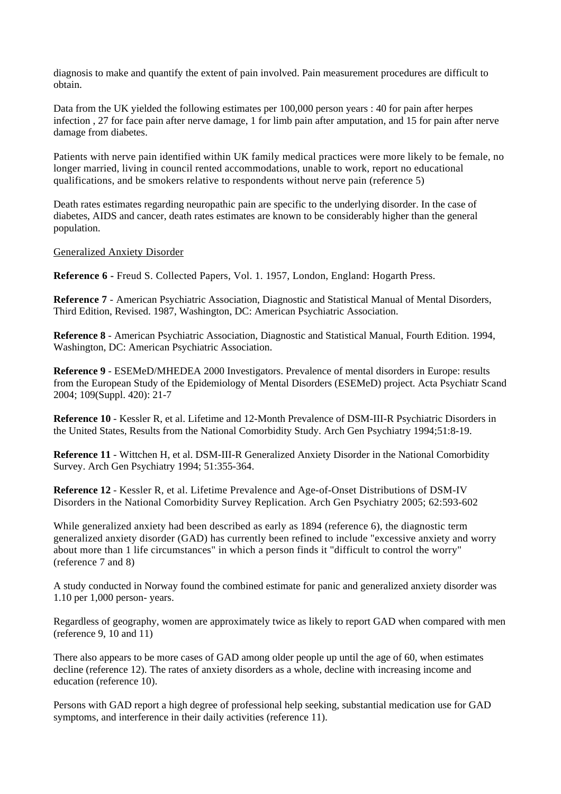diagnosis to make and quantify the extent of pain involved. Pain measurement procedures are difficult to obtain.

Data from the UK yielded the following estimates per 100,000 person years : 40 for pain after herpes infection , 27 for face pain after nerve damage, 1 for limb pain after amputation, and 15 for pain after nerve damage from diabetes.

Patients with nerve pain identified within UK family medical practices were more likely to be female, no longer married, living in council rented accommodations, unable to work, report no educational qualifications, and be smokers relative to respondents without nerve pain (reference 5)

Death rates estimates regarding neuropathic pain are specific to the underlying disorder. In the case of diabetes, AIDS and cancer, death rates estimates are known to be considerably higher than the general population.

#### Generalized Anxiety Disorder

**Reference 6 -** Freud S. Collected Papers, Vol. 1. 1957, London, England: Hogarth Press.

**Reference 7** - American Psychiatric Association, Diagnostic and Statistical Manual of Mental Disorders, Third Edition, Revised. 1987, Washington, DC: American Psychiatric Association.

**Reference 8** - American Psychiatric Association, Diagnostic and Statistical Manual, Fourth Edition. 1994, Washington, DC: American Psychiatric Association.

**Reference 9** - ESEMeD/MHEDEA 2000 Investigators. Prevalence of mental disorders in Europe: results from the European Study of the Epidemiology of Mental Disorders (ESEMeD) project. Acta Psychiatr Scand 2004; 109(Suppl. 420): 21-7

**Reference 10** - Kessler R, et al. Lifetime and 12-Month Prevalence of DSM-III-R Psychiatric Disorders in the United States, Results from the National Comorbidity Study. Arch Gen Psychiatry 1994;51:8-19.

**Reference 11** - Wittchen H, et al. DSM-III-R Generalized Anxiety Disorder in the National Comorbidity Survey. Arch Gen Psychiatry 1994; 51:355-364.

**Reference 12** - Kessler R, et al. Lifetime Prevalence and Age-of-Onset Distributions of DSM-IV Disorders in the National Comorbidity Survey Replication. Arch Gen Psychiatry 2005; 62:593-602

While generalized anxiety had been described as early as 1894 (reference 6), the diagnostic term generalized anxiety disorder (GAD) has currently been refined to include "excessive anxiety and worry about more than 1 life circumstances" in which a person finds it "difficult to control the worry" (reference 7 and 8)

A study conducted in Norway found the combined estimate for panic and generalized anxiety disorder was 1.10 per 1,000 person- years.

Regardless of geography, women are approximately twice as likely to report GAD when compared with men (reference 9, 10 and 11)

There also appears to be more cases of GAD among older people up until the age of 60, when estimates decline (reference 12). The rates of anxiety disorders as a whole, decline with increasing income and education (reference 10).

Persons with GAD report a high degree of professional help seeking, substantial medication use for GAD symptoms, and interference in their daily activities (reference 11).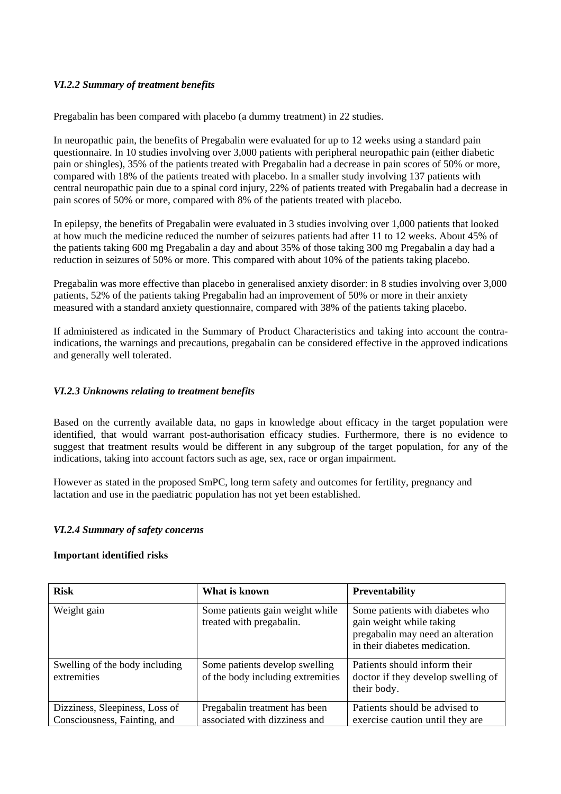## *VI.2.2 Summary of treatment benefits*

Pregabalin has been compared with placebo (a dummy treatment) in 22 studies.

In neuropathic pain, the benefits of Pregabalin were evaluated for up to 12 weeks using a standard pain questionnaire. In 10 studies involving over 3,000 patients with peripheral neuropathic pain (either diabetic pain or shingles), 35% of the patients treated with Pregabalin had a decrease in pain scores of 50% or more, compared with 18% of the patients treated with placebo. In a smaller study involving 137 patients with central neuropathic pain due to a spinal cord injury, 22% of patients treated with Pregabalin had a decrease in pain scores of 50% or more, compared with 8% of the patients treated with placebo.

In epilepsy, the benefits of Pregabalin were evaluated in 3 studies involving over 1,000 patients that looked at how much the medicine reduced the number of seizures patients had after 11 to 12 weeks. About 45% of the patients taking 600 mg Pregabalin a day and about 35% of those taking 300 mg Pregabalin a day had a reduction in seizures of 50% or more. This compared with about 10% of the patients taking placebo.

Pregabalin was more effective than placebo in generalised anxiety disorder: in 8 studies involving over 3,000 patients, 52% of the patients taking Pregabalin had an improvement of 50% or more in their anxiety measured with a standard anxiety questionnaire, compared with 38% of the patients taking placebo.

If administered as indicated in the Summary of Product Characteristics and taking into account the contraindications, the warnings and precautions, pregabalin can be considered effective in the approved indications and generally well tolerated.

### *VI.2.3 Unknowns relating to treatment benefits*

Based on the currently available data, no gaps in knowledge about efficacy in the target population were identified, that would warrant post-authorisation efficacy studies. Furthermore, there is no evidence to suggest that treatment results would be different in any subgroup of the target population, for any of the indications, taking into account factors such as age, sex, race or organ impairment.

However as stated in the proposed SmPC, long term safety and outcomes for fertility, pregnancy and lactation and use in the paediatric population has not yet been established.

### *VI.2.4 Summary of safety concerns*

#### **Important identified risks**

| <b>Risk</b>                                                    | What is known                                                       | <b>Preventability</b>                                                                                                             |
|----------------------------------------------------------------|---------------------------------------------------------------------|-----------------------------------------------------------------------------------------------------------------------------------|
| Weight gain                                                    | Some patients gain weight while<br>treated with pregabalin.         | Some patients with diabetes who<br>gain weight while taking<br>pregabalin may need an alteration<br>in their diabetes medication. |
| Swelling of the body including<br>extremities                  | Some patients develop swelling<br>of the body including extremities | Patients should inform their<br>doctor if they develop swelling of<br>their body.                                                 |
| Dizziness, Sleepiness, Loss of<br>Consciousness, Fainting, and | Pregabalin treatment has been<br>associated with dizziness and      | Patients should be advised to<br>exercise caution until they are                                                                  |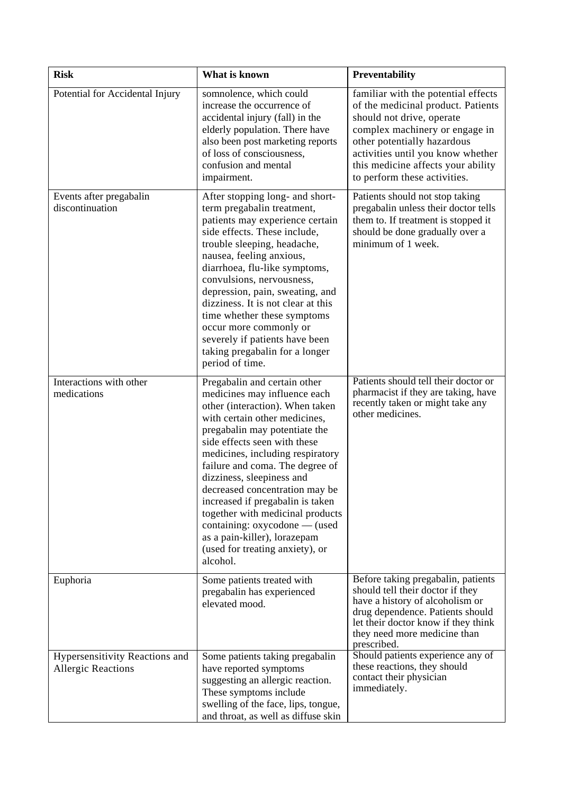| <b>Risk</b>                                                 | What is known                                                                                                                                                                                                                                                                                                                                                                                                                                                                                                                   | Preventability                                                                                                                                                                                                                                                                     |
|-------------------------------------------------------------|---------------------------------------------------------------------------------------------------------------------------------------------------------------------------------------------------------------------------------------------------------------------------------------------------------------------------------------------------------------------------------------------------------------------------------------------------------------------------------------------------------------------------------|------------------------------------------------------------------------------------------------------------------------------------------------------------------------------------------------------------------------------------------------------------------------------------|
| Potential for Accidental Injury                             | somnolence, which could<br>increase the occurrence of<br>accidental injury (fall) in the<br>elderly population. There have<br>also been post marketing reports<br>of loss of consciousness,<br>confusion and mental<br>impairment.                                                                                                                                                                                                                                                                                              | familiar with the potential effects<br>of the medicinal product. Patients<br>should not drive, operate<br>complex machinery or engage in<br>other potentially hazardous<br>activities until you know whether<br>this medicine affects your ability<br>to perform these activities. |
| Events after pregabalin<br>discontinuation                  | After stopping long- and short-<br>term pregabalin treatment,<br>patients may experience certain<br>side effects. These include,<br>trouble sleeping, headache,<br>nausea, feeling anxious,<br>diarrhoea, flu-like symptoms,<br>convulsions, nervousness,<br>depression, pain, sweating, and<br>dizziness. It is not clear at this<br>time whether these symptoms<br>occur more commonly or<br>severely if patients have been<br>taking pregabalin for a longer<br>period of time.                                              | Patients should not stop taking<br>pregabalin unless their doctor tells<br>them to. If treatment is stopped it<br>should be done gradually over a<br>minimum of 1 week.                                                                                                            |
| Interactions with other<br>medications                      | Pregabalin and certain other<br>medicines may influence each<br>other (interaction). When taken<br>with certain other medicines,<br>pregabalin may potentiate the<br>side effects seen with these<br>medicines, including respiratory<br>failure and coma. The degree of<br>dizziness, sleepiness and<br>decreased concentration may be<br>increased if pregabalin is taken<br>together with medicinal products<br>containing: oxycodone — (used<br>as a pain-killer), lorazepam<br>(used for treating anxiety), or<br>alcohol. | Patients should tell their doctor or<br>pharmacist if they are taking, have<br>recently taken or might take any<br>other medicines.                                                                                                                                                |
| Euphoria                                                    | Some patients treated with<br>pregabalin has experienced<br>elevated mood.                                                                                                                                                                                                                                                                                                                                                                                                                                                      | Before taking pregabalin, patients<br>should tell their doctor if they<br>have a history of alcoholism or<br>drug dependence. Patients should<br>let their doctor know if they think<br>they need more medicine than<br>prescribed.                                                |
| Hypersensitivity Reactions and<br><b>Allergic Reactions</b> | Some patients taking pregabalin<br>have reported symptoms<br>suggesting an allergic reaction.<br>These symptoms include<br>swelling of the face, lips, tongue,<br>and throat, as well as diffuse skin                                                                                                                                                                                                                                                                                                                           | Should patients experience any of<br>these reactions, they should<br>contact their physician<br>immediately.                                                                                                                                                                       |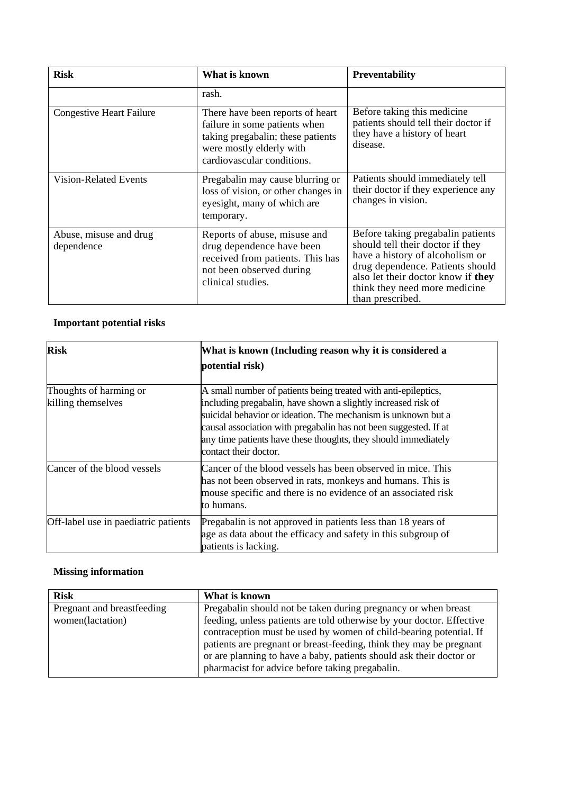| <b>Risk</b>                          | What is known                                                                                                                                                    | <b>Preventability</b>                                                                                                                                                                                                                   |
|--------------------------------------|------------------------------------------------------------------------------------------------------------------------------------------------------------------|-----------------------------------------------------------------------------------------------------------------------------------------------------------------------------------------------------------------------------------------|
|                                      | rash.                                                                                                                                                            |                                                                                                                                                                                                                                         |
| <b>Congestive Heart Failure</b>      | There have been reports of heart<br>failure in some patients when<br>taking pregabalin; these patients<br>were mostly elderly with<br>cardiovascular conditions. | Before taking this medicine<br>patients should tell their doctor if<br>they have a history of heart<br>disease.                                                                                                                         |
| <b>Vision-Related Events</b>         | Pregabalin may cause blurring or<br>loss of vision, or other changes in<br>eyesight, many of which are<br>temporary.                                             | Patients should immediately tell<br>their doctor if they experience any<br>changes in vision.                                                                                                                                           |
| Abuse, misuse and drug<br>dependence | Reports of abuse, misuse and<br>drug dependence have been<br>received from patients. This has<br>not been observed during<br>clinical studies.                   | Before taking pregabalin patients<br>should tell their doctor if they<br>have a history of alcoholism or<br>drug dependence. Patients should<br>also let their doctor know if they<br>think they need more medicine<br>than prescribed. |

# **Important potential risks**

| <b>Risk</b>                                  | What is known (Including reason why it is considered a<br>potential risk)                                                                                                                                                                                                                                                                                       |
|----------------------------------------------|-----------------------------------------------------------------------------------------------------------------------------------------------------------------------------------------------------------------------------------------------------------------------------------------------------------------------------------------------------------------|
| Thoughts of harming or<br>killing themselves | A small number of patients being treated with anti-epileptics,<br>including pregabalin, have shown a slightly increased risk of<br>suicidal behavior or ideation. The mechanism is unknown but a<br>causal association with pregabalin has not been suggested. If at<br>any time patients have these thoughts, they should immediately<br>contact their doctor. |
| Cancer of the blood vessels                  | Cancer of the blood vessels has been observed in mice. This<br>has not been observed in rats, monkeys and humans. This is<br>mouse specific and there is no evidence of an associated risk<br>to humans.                                                                                                                                                        |
| Off-label use in paediatric patients         | Pregabalin is not approved in patients less than 18 years of<br>age as data about the efficacy and safety in this subgroup of<br>patients is lacking.                                                                                                                                                                                                           |

# **Missing information**

| <b>Risk</b>                                    | What is known                                                                                                                                                                                                                                                                                                                                                                                                  |
|------------------------------------------------|----------------------------------------------------------------------------------------------------------------------------------------------------------------------------------------------------------------------------------------------------------------------------------------------------------------------------------------------------------------------------------------------------------------|
| Pregnant and breastfeeding<br>women(lactation) | Pregabalin should not be taken during pregnancy or when breast<br>feeding, unless patients are told otherwise by your doctor. Effective<br>contraception must be used by women of child-bearing potential. If<br>patients are pregnant or breast-feeding, think they may be pregnant<br>or are planning to have a baby, patients should ask their doctor or<br>pharmacist for advice before taking pregabalin. |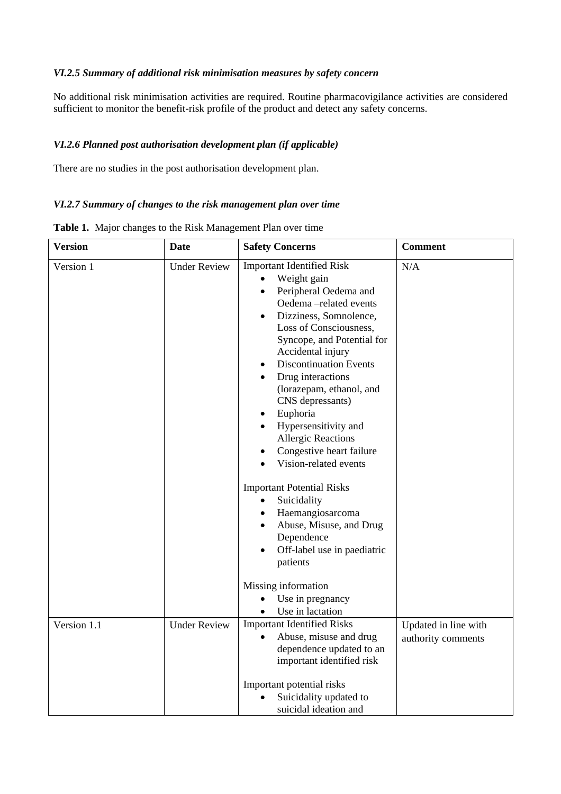## *VI.2.5 Summary of additional risk minimisation measures by safety concern*

No additional risk minimisation activities are required. Routine pharmacovigilance activities are considered sufficient to monitor the benefit-risk profile of the product and detect any safety concerns.

## *VI.2.6 Planned post authorisation development plan (if applicable)*

There are no studies in the post authorisation development plan.

### *VI.2.7 Summary of changes to the risk management plan over time*

| <b>Version</b> | <b>Date</b>         | <b>Safety Concerns</b>                                                                                                                                                                                                                                                                                                                                                                                                                                                                                                                                                                                                                                                                                                                                         | <b>Comment</b>                             |
|----------------|---------------------|----------------------------------------------------------------------------------------------------------------------------------------------------------------------------------------------------------------------------------------------------------------------------------------------------------------------------------------------------------------------------------------------------------------------------------------------------------------------------------------------------------------------------------------------------------------------------------------------------------------------------------------------------------------------------------------------------------------------------------------------------------------|--------------------------------------------|
| Version 1      | <b>Under Review</b> | <b>Important Identified Risk</b><br>Weight gain<br>$\bullet$<br>Peripheral Oedema and<br>$\bullet$<br>Oedema-related events<br>Dizziness, Somnolence,<br>$\bullet$<br>Loss of Consciousness,<br>Syncope, and Potential for<br>Accidental injury<br><b>Discontinuation Events</b><br>Drug interactions<br>(lorazepam, ethanol, and<br>CNS depressants)<br>Euphoria<br>٠<br>Hypersensitivity and<br>$\bullet$<br><b>Allergic Reactions</b><br>Congestive heart failure<br>Vision-related events<br><b>Important Potential Risks</b><br>Suicidality<br>Haemangiosarcoma<br>$\bullet$<br>Abuse, Misuse, and Drug<br>Dependence<br>Off-label use in paediatric<br>patients<br>Missing information<br>Use in pregnancy<br>$\bullet$<br>Use in lactation<br>$\bullet$ | N/A                                        |
| Version 1.1    | <b>Under Review</b> | <b>Important Identified Risks</b><br>Abuse, misuse and drug<br>dependence updated to an<br>important identified risk<br>Important potential risks<br>Suicidality updated to<br>suicidal ideation and                                                                                                                                                                                                                                                                                                                                                                                                                                                                                                                                                           | Updated in line with<br>authority comments |

**Table 1.** Major changes to the Risk Management Plan over time